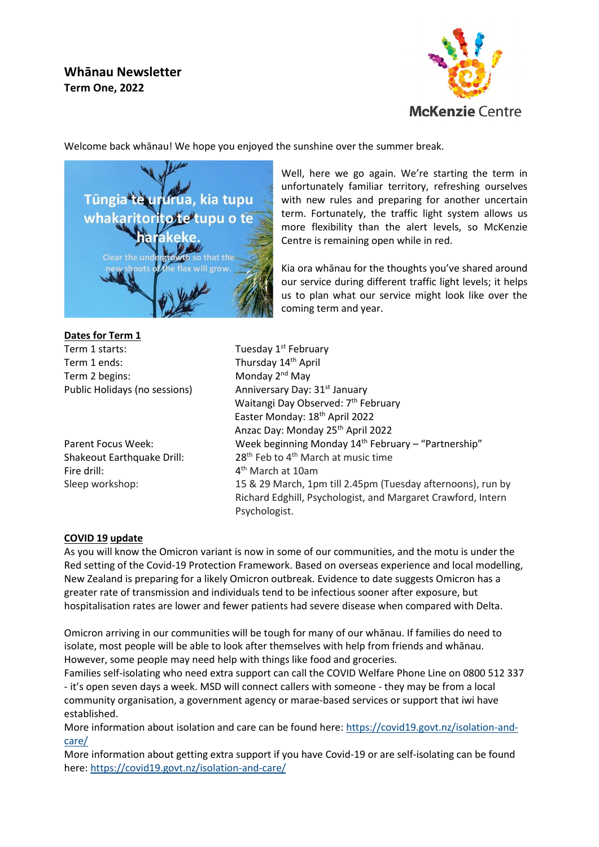# **Whānau Newsletter Term One, 2022**



Welcome back whānau! We hope you enjoyed the sunshine over the summer break.



**Dates for Term 1** Term 1 starts: Tuesday 1<sup>st</sup> February Term 1 ends: Thursday 14<sup>th</sup> April Term 2 begins: Monday 2<sup>nd</sup> May

Fire drill: 4

Well, here we go again. We're starting the term in unfortunately familiar territory, refreshing ourselves with new rules and preparing for another uncertain term. Fortunately, the traffic light system allows us more flexibility than the alert levels, so McKenzie Centre is remaining open while in red.

Kia ora whānau for the thoughts you've shared around our service during different traffic light levels; it helps us to plan what our service might look like over the coming term and year.

Public Holidays (no sessions) Anniversary Day: 31<sup>st</sup> January Waitangi Day Observed: 7<sup>th</sup> February Easter Monday: 18th April 2022 Anzac Day: Monday 25th April 2022 Parent Focus Week: Week beginning Monday 14<sup>th</sup> February – "Partnership" Shakeout Earthquake Drill:  $28<sup>th</sup>$  Feb to 4<sup>th</sup> March at music time  $4<sup>th</sup>$  March at 10am Sleep workshop: 15 & 29 March, 1pm till 2.45pm (Tuesday afternoons), run by Richard Edghill, Psychologist, and Margaret Crawford, Intern Psychologist.

# **COVID 19 update**

As you will know the Omicron variant is now in some of our communities, and the motu is under the Red setting of the Covid-19 Protection Framework. Based on overseas experience and local modelling, New Zealand is preparing for a likely Omicron outbreak. Evidence to date suggests Omicron has a greater rate of transmission and individuals tend to be infectious sooner after exposure, but hospitalisation rates are lower and fewer patients had severe disease when compared with Delta.

Omicron arriving in our communities will be tough for many of our whānau. If families do need to isolate, most people will be able to look after themselves with help from friends and whānau. However, some people may need help with things like food and groceries.

Families self-isolating who need extra support can call the COVID Welfare Phone Line on 0800 512 337 - it's open seven days a week. MSD will connect callers with someone - they may be from a local community organisation, a government agency or marae-based services or support that iwi have established.

More information about isolation and care can be found here: [https://covid19.govt.nz/isolation-and](https://covid19.govt.nz/isolation-and-care/)[care/](https://covid19.govt.nz/isolation-and-care/)

More information about getting extra support if you have Covid-19 or are self-isolating can be found here:<https://covid19.govt.nz/isolation-and-care/>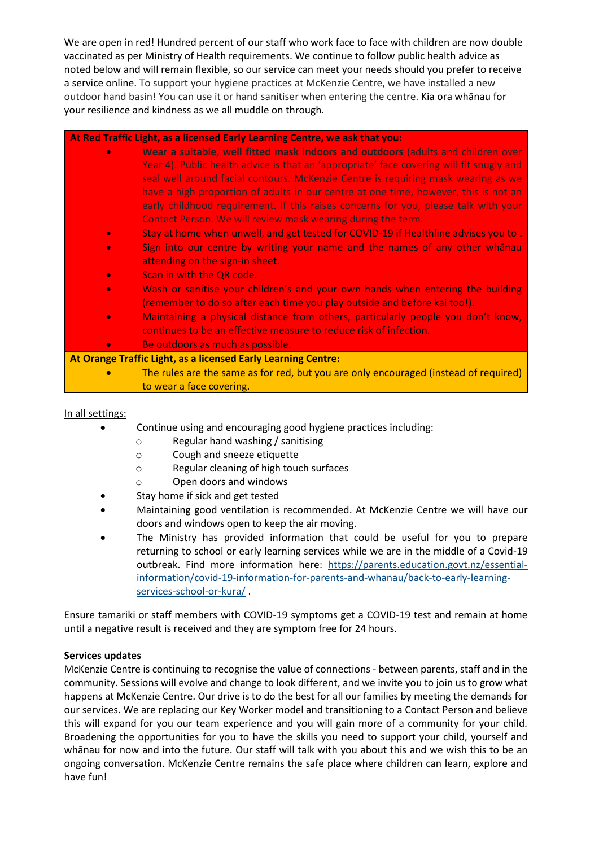We are open in red! Hundred percent of our staff who work face to face with children are now double vaccinated as per Ministry of Health requirements. We continue to follow public health advice as noted below and will remain flexible, so our service can meet your needs should you prefer to receive a service online. To support your hygiene practices at McKenzie Centre, we have installed a new outdoor hand basin! You can use it or hand sanitiser when entering the centre. Kia ora whānau for your resilience and kindness as we all muddle on through.

# **At Red Traffic Light, as a licensed Early Learning Centre, we ask that you:**

- **Wear a suitable, well fitted mask indoors and outdoors** (adults and children over Year 4). Public health advice is that an 'appropriate' face covering will fit snugly and seal well around facial contours. McKenzie Centre is requiring mask wearing as we have a high proportion of adults in our centre at one time, however, this is not an early childhood requirement. If this raises concerns for you, please talk with your Contact Person. We will review mask wearing during the term.
	- Stay at home when unwell, and get tested for COVID-19 if Healthline advises you to .
	- Sign into our centre by writing your name and the names of any other whānau attending on the sign-in sheet.
	- **Scan in with the QR code.**
	- Wash or sanitise your children's and your own hands when entering the building (remember to do so after each time you play outside and before kai too!).
	- Maintaining a physical distance from others, particularly people you don't know, continues to be an effective measure to reduce risk of infection.
	- Be outdoors as much as possible.

# **At Orange Traffic Light, as a licensed Early Learning Centre:**

• The rules are the same as for red, but you are only encouraged (instead of required) to wear a face covering.

# In all settings:

- Continue using and encouraging good hygiene practices including:
	- o Regular hand washing / sanitising
	- o Cough and sneeze etiquette
	- o Regular cleaning of high touch surfaces
	- o Open doors and windows
- Stay home if sick and get tested
- Maintaining good ventilation is recommended. At McKenzie Centre we will have our doors and windows open to keep the air moving.
- The Ministry has provided information that could be useful for you to prepare returning to school or early learning services while we are in the middle of a Covid-19 outbreak. Find more information here: [https://parents.education.govt.nz/essential](https://parents.education.govt.nz/essential-information/covid-19-information-for-parents-and-whanau/back-to-early-learning-services-school-or-kura/)[information/covid-19-information-for-parents-and-whanau/back-to-early-learning](https://parents.education.govt.nz/essential-information/covid-19-information-for-parents-and-whanau/back-to-early-learning-services-school-or-kura/)[services-school-or-kura/](https://parents.education.govt.nz/essential-information/covid-19-information-for-parents-and-whanau/back-to-early-learning-services-school-or-kura/) .

Ensure tamariki or staff members with COVID-19 symptoms get a COVID-19 test and remain at home until a negative result is received and they are symptom free for 24 hours.

#### **Services updates**

McKenzie Centre is continuing to recognise the value of connections - between parents, staff and in the community. Sessions will evolve and change to look different, and we invite you to join us to grow what happens at McKenzie Centre. Our drive is to do the best for all our families by meeting the demands for our services. We are replacing our Key Worker model and transitioning to a Contact Person and believe this will expand for you our team experience and you will gain more of a community for your child. Broadening the opportunities for you to have the skills you need to support your child, yourself and whānau for now and into the future. Our staff will talk with you about this and we wish this to be an ongoing conversation. McKenzie Centre remains the safe place where children can learn, explore and have fun!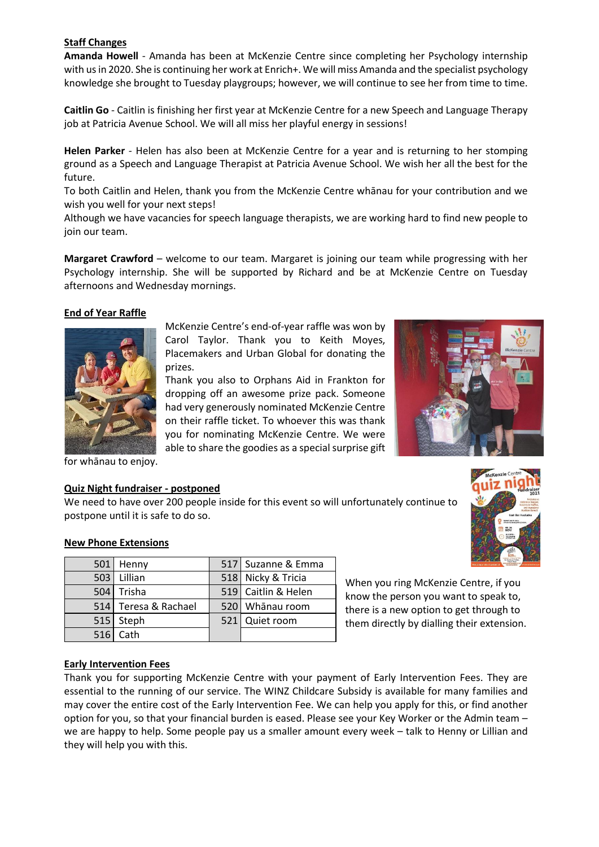#### **Staff Changes**

**Amanda Howell** - Amanda has been at McKenzie Centre since completing her Psychology internship with us in 2020. She is continuing her work at Enrich+. We will miss Amanda and the specialist psychology knowledge she brought to Tuesday playgroups; however, we will continue to see her from time to time.

**Caitlin Go** - Caitlin is finishing her first year at McKenzie Centre for a new Speech and Language Therapy job at Patricia Avenue School. We will all miss her playful energy in sessions!

**Helen Parker** - Helen has also been at McKenzie Centre for a year and is returning to her stomping ground as a Speech and Language Therapist at Patricia Avenue School. We wish her all the best for the future.

To both Caitlin and Helen, thank you from the McKenzie Centre whānau for your contribution and we wish you well for your next steps!

Although we have vacancies for speech language therapists, we are working hard to find new people to join our team.

**Margaret Crawford** – welcome to our team. Margaret is joining our team while progressing with her Psychology internship. She will be supported by Richard and be at McKenzie Centre on Tuesday afternoons and Wednesday mornings.

# **End of Year Raffle**



McKenzie Centre's end-of-year raffle was won by Carol Taylor. Thank you to Keith Moyes, Placemakers and Urban Global for donating the prizes.

Thank you also to Orphans Aid in Frankton for dropping off an awesome prize pack. Someone had very generously nominated McKenzie Centre on their raffle ticket. To whoever this was thank you for nominating McKenzie Centre. We were able to share the goodies as a special surprise gift



for whānau to enjoy.

#### **Quiz Night fundraiser - postponed**

We need to have over 200 people inside for this event so will unfortunately continue to postpone until it is safe to do so.



#### **New Phone Extensions**

| 501 Henny            | 517 Suzanne & Emma  |
|----------------------|---------------------|
| 503 Lillian          | 518 Nicky & Tricia  |
| 504 Trisha           | 519 Caitlin & Helen |
| 514 Teresa & Rachael | 520 Whanau room     |
| 515 Steph            | 521 Quiet room      |
| $516$ Cath           |                     |

When you ring McKenzie Centre, if you know the person you want to speak to, there is a new option to get through to them directly by dialling their extension.

#### **Early Intervention Fees**

Thank you for supporting McKenzie Centre with your payment of Early Intervention Fees. They are essential to the running of our service. The WINZ Childcare Subsidy is available for many families and may cover the entire cost of the Early Intervention Fee. We can help you apply for this, or find another option for you, so that your financial burden is eased. Please see your Key Worker or the Admin team – we are happy to help. Some people pay us a smaller amount every week – talk to Henny or Lillian and they will help you with this.